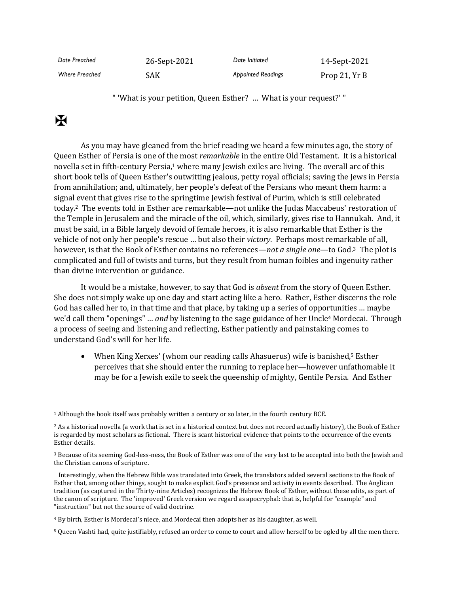| Date Preached         | 26-Sept-2021 | Date Initiated            | 14-Sept-2021  |
|-----------------------|--------------|---------------------------|---------------|
| <b>Where Preached</b> | SAK          | <b>Appointed Readings</b> | Prop 21, Yr B |

" 'What is your petition, Queen Esther? … What is your request?' "

## $\mathbf F$

As you may have gleaned from the brief reading we heard a few minutes ago, the story of Queen Esther of Persia is one of the most *remarkable* in the entire Old Testament. It is a historical novella set in fifth-century Persia,<sup>1</sup> where many Jewish exiles are living. The overall arc of this short book tells of Queen Esther's outwitting jealous, petty royal officials; saving the Jews in Persia from annihilation; and, ultimately, her people's defeat of the Persians who meant them harm: a signal event that gives rise to the springtime Jewish festival of Purim, which is still celebrated today.2 The events told in Esther are remarkable—not unlike the Judas Maccabeus' restoration of the Temple in Jerusalem and the miracle of the oil, which, similarly, gives rise to Hannukah. And, it must be said, in a Bible largely devoid of female heroes, it is also remarkable that Esther is the vehicle of not only her people's rescue … but also their *victory*. Perhaps most remarkable of all, however, is that the Book of Esther contains no references—*not a single one*—to God.3 The plot is complicated and full of twists and turns, but they result from human foibles and ingenuity rather than divine intervention or guidance.

It would be a mistake, however, to say that God is *absent* from the story of Queen Esther. She does not simply wake up one day and start acting like a hero. Rather, Esther discerns the role God has called her to, in that time and that place, by taking up a series of opportunities … maybe we'd call them "openings" … *and* by listening to the sage guidance of her Uncle<sup>4</sup> Mordecai. Through a process of seeing and listening and reflecting, Esther patiently and painstaking comes to understand God's will for her life.

• When King Xerxes' (whom our reading calls Ahasuerus) wife is banished, <sup>5</sup> Esther perceives that she should enter the running to replace her—however unfathomable it may be for a Jewish exile to seek the queenship of mighty, Gentile Persia. And Esther

<sup>1</sup> Although the book itself was probably written a century or so later, in the fourth century BCE.

<sup>2</sup> As a historical novella (a work that is set in a historical context but does not record actually history), the Book of Esther is regarded by most scholars as fictional. There is scant historical evidence that points to the occurrence of the events Esther details.

<sup>3</sup> Because of its seeming God-less-ness, the Book of Esther was one of the very last to be accepted into both the Jewish and the Christian canons of scripture.

Interestingly, when the Hebrew Bible was translated into Greek, the translators added several sections to the Book of Esther that, among other things, sought to make explicit God's presence and activity in events described. The Anglican tradition (as captured in the Thirty-nine Articles) recognizes the Hebrew Book of Esther, without these edits, as part of the canon of scripture. The 'improved' Greek version we regard as apocryphal: that is, helpful for "example" and "instruction" but not the source of valid doctrine.

<sup>4</sup> By birth, Esther is Mordecai's niece, and Mordecai then adopts her as his daughter, as well.

<sup>5</sup> Queen Vashti had, quite justifiably, refused an order to come to court and allow herself to be ogled by all the men there.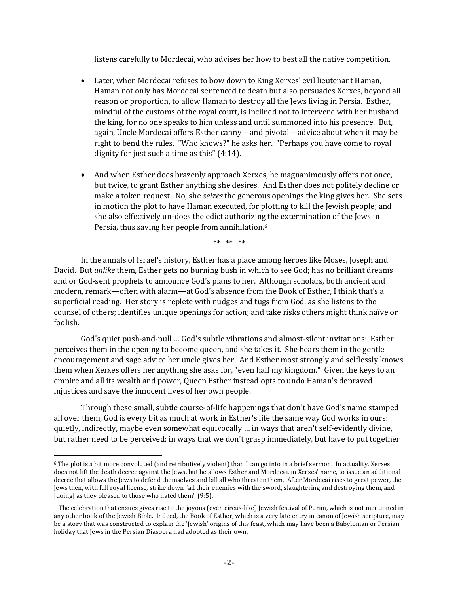listens carefully to Mordecai, who advises her how to best all the native competition.

- Later, when Mordecai refuses to bow down to King Xerxes' evil lieutenant Haman, Haman not only has Mordecai sentenced to death but also persuades Xerxes, beyond all reason or proportion, to allow Haman to destroy all the Jews living in Persia. Esther, mindful of the customs of the royal court, is inclined not to intervene with her husband the king, for no one speaks to him unless and until summoned into his presence. But, again, Uncle Mordecai offers Esther canny—and pivotal—advice about when it may be right to bend the rules. "Who knows?" he asks her. "Perhaps you have come to royal dignity for just such a time as this" (4:14).
- And when Esther does brazenly approach Xerxes, he magnanimously offers not once, but twice, to grant Esther anything she desires. And Esther does not politely decline or make a token request. No, she *seizes* the generous openings the king gives her. She sets in motion the plot to have Haman executed, for plotting to kill the Jewish people; and she also effectively un-does the edict authorizing the extermination of the Jews in Persia, thus saving her people from annihilation. 6

\*\* \*\* \*\*

In the annals of Israel's history, Esther has a place among heroes like Moses, Joseph and David. But *unlike* them, Esther gets no burning bush in which to see God; has no brilliant dreams and or God-sent prophets to announce God's plans to her. Although scholars, both ancient and modern, remark—often with alarm—at God's absence from the Book of Esther, I think that's a superficial reading. Her story is replete with nudges and tugs from God, as she listens to the counsel of others; identifies unique openings for action; and take risks others might think naïve or foolish.

God's quiet push-and-pull … God's subtle vibrations and almost-silent invitations: Esther perceives them in the opening to become queen, and she takes it. She hears them in the gentle encouragement and sage advice her uncle gives her. And Esther most strongly and selflessly knows them when Xerxes offers her anything she asks for, "even half my kingdom." Given the keys to an empire and all its wealth and power, Queen Esther instead opts to undo Haman's depraved injustices and save the innocent lives of her own people.

Through these small, subtle course-of-life happenings that don't have God's name stamped all over them, God is every bit as much at work in Esther's life the same way God works in ours: quietly, indirectly, maybe even somewhat equivocally … in ways that aren't self-evidently divine, but rather need to be perceived; in ways that we don't grasp immediately, but have to put together

<sup>6</sup> The plot is a bit more convoluted (and retributively violent) than I can go into in a brief sermon. In actuality, Xerxes does not lift the death decree against the Jews, but he allows Esther and Mordecai, in Xerxes' name, to issue an additional decree that allows the Jews to defend themselves and kill all who threaten them. After Mordecai rises to great power, the Jews then, with full royal license, strike down "all their enemies with the sword, slaughtering and destroying them, and [doing] as they pleased to those who hated them" (9:5).

The celebration that ensues gives rise to the joyous (even circus-like) Jewish festival of Purim, which is not mentioned in any other book of the Jewish Bible. Indeed, the Book of Esther, which is a very late entry in canon of Jewish scripture, may be a story that was constructed to explain the 'Jewish' origins of this feast, which may have been a Babylonian or Persian holiday that Jews in the Persian Diaspora had adopted as their own.